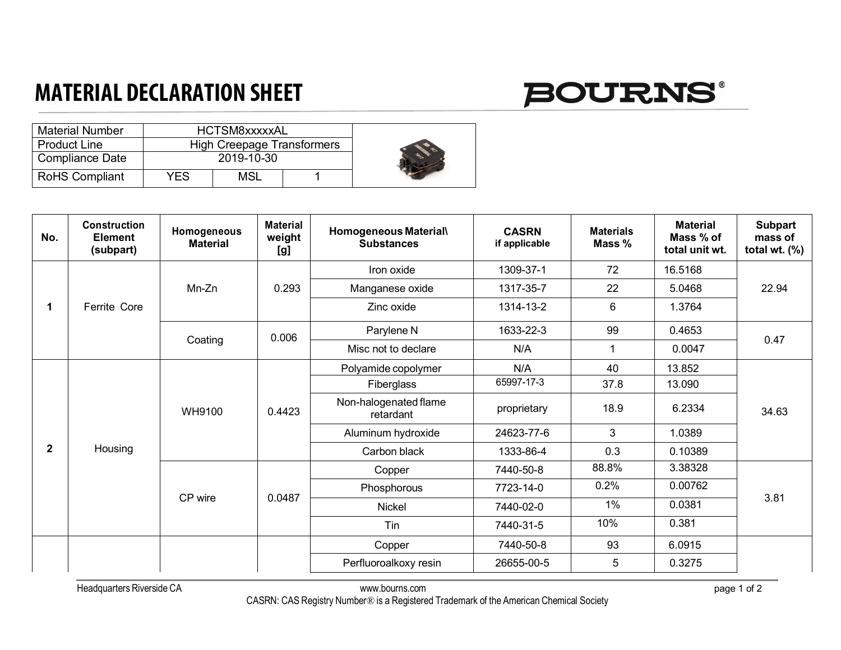## **MATERIAL DECLARATION SHEET**

## **BOURNS®**

| <b>Material Number</b> |            | HCTSM8xxxxxAL                     |  |  |
|------------------------|------------|-----------------------------------|--|--|
| <b>Product Line</b>    |            | <b>High Creepage Transformers</b> |  |  |
| <b>Compliance Date</b> | 2019-10-30 |                                   |  |  |
| <b>RoHS Compliant</b>  | YES        | MSL                               |  |  |

| No.          | <b>Construction</b><br><b>Element</b><br>(subpart) | Homogeneous<br><b>Material</b> | <b>Material</b><br>weight<br>[g] | Homogeneous Material\<br><b>Substances</b> | <b>CASRN</b><br>if applicable | <b>Materials</b><br>Mass % | <b>Material</b><br>Mass % of<br>total unit wt. | Subpart<br>mass of<br>total wt. $(\%)$ |
|--------------|----------------------------------------------------|--------------------------------|----------------------------------|--------------------------------------------|-------------------------------|----------------------------|------------------------------------------------|----------------------------------------|
|              | Ferrite Core                                       | Mn-Zn                          | 0.293                            | Iron oxide                                 | 1309-37-1                     | 72                         | 16.5168                                        | 22.94                                  |
|              |                                                    |                                |                                  | Manganese oxide                            | 1317-35-7                     | 22                         | 5.0468                                         |                                        |
|              |                                                    |                                |                                  | Zinc oxide                                 | 1314-13-2                     | 6                          | 1.3764                                         |                                        |
|              |                                                    | Coating                        | 0.006                            | Parylene N                                 | 1633-22-3                     | 99                         | 0.4653                                         | 0.47                                   |
|              |                                                    |                                |                                  | Misc not to declare                        | N/A                           | $\mathbf 1$                | 0.0047                                         |                                        |
| $\mathbf{2}$ | Housing                                            | WH9100                         | 0.4423                           | Polyamide copolymer                        | N/A                           | 40                         | 13.852                                         | 34.63                                  |
|              |                                                    |                                |                                  | Fiberglass                                 | 65997-17-3                    | 37.8                       | 13.090                                         |                                        |
|              |                                                    |                                |                                  | Non-halogenated flame<br>retardant         | proprietary                   | 18.9                       | 6.2334                                         |                                        |
|              |                                                    |                                |                                  | Aluminum hydroxide                         | 24623-77-6                    | 3                          | 1.0389                                         |                                        |
|              |                                                    |                                |                                  | Carbon black                               | 1333-86-4                     | 0.3                        | 0.10389                                        |                                        |
|              |                                                    | CP wire                        | 0.0487                           | Copper                                     | 7440-50-8                     | 88.8%                      | 3.38328                                        | 3.81                                   |
|              |                                                    |                                |                                  | Phosphorous                                | 7723-14-0                     | 0.2%                       | 0.00762                                        |                                        |
|              |                                                    |                                |                                  | <b>Nickel</b>                              | 7440-02-0                     | 1%                         | 0.0381                                         |                                        |
|              |                                                    |                                |                                  | Tin                                        | 7440-31-5                     | 10%                        | 0.381                                          |                                        |
|              |                                                    |                                |                                  | Copper                                     | 7440-50-8                     | 93                         | 6.0915                                         |                                        |
|              |                                                    |                                |                                  | Perfluoroalkoxy resin                      | 26655-00-5                    | 5                          | 0.3275                                         |                                        |

Headquarters Riverside CA www.bourns.com

CASRN: CAS Registry Number® is a Registered Trademark of the American Chemical Society